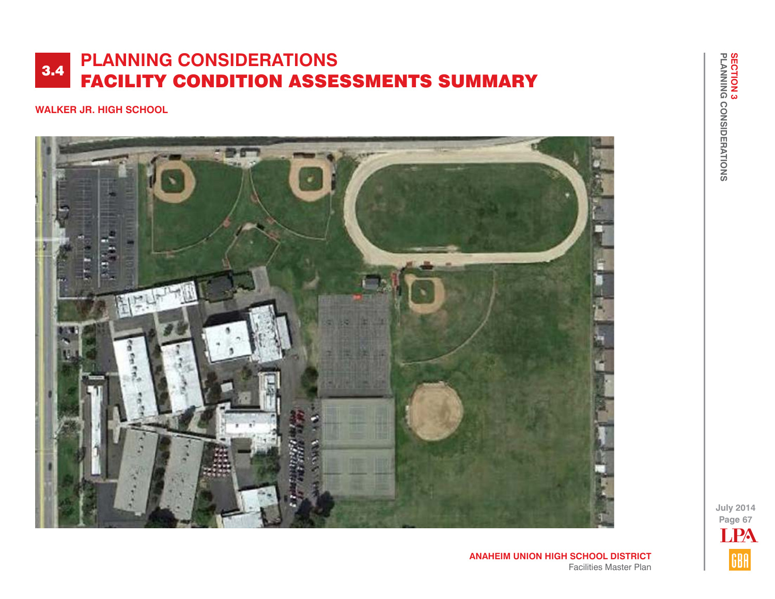**WALKER JR. HIGH SCHOOL**



**ANAHEIM UNION HIGH SCHOOL DISTRICT** Facilities Master Plan **July 2014 Page 67** LPAGBA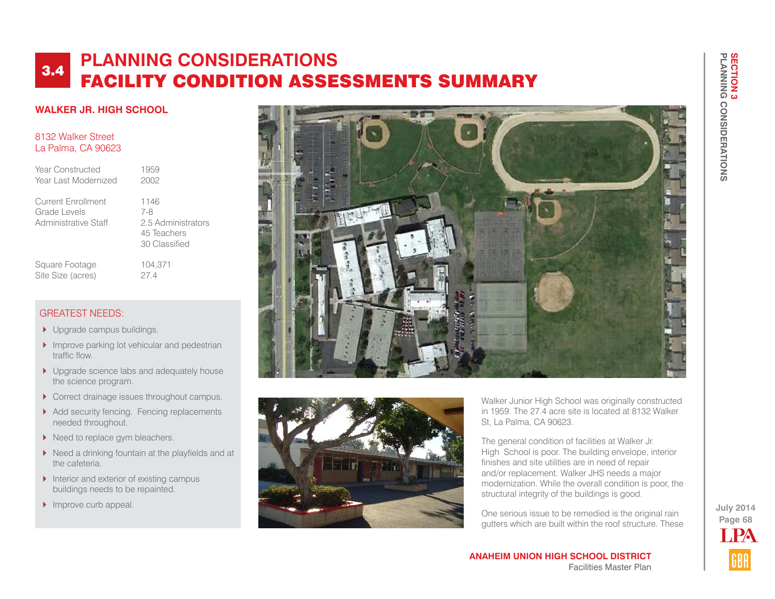## **WALKER JR. HIGH SCHOOL**

### 8132 Walker Street La Palma, CA 90623

| Year Constructed     | 1959 |
|----------------------|------|
| Year Last Modernized | 2002 |
|                      |      |

Current Enrollment 1146<br>Grade Levels 7-8 Grade Levels Administrative Staff 2.5 Administrators

 45 Teachers 30 Classified Square Footage 104,371

# GREATEST NEEDS:

**I** Upgrade campus buildings.

Site Size (acres) 27.4

- Improve parking lot vehicular and pedestrian traffic flow.
- ▶ Upgrade science labs and adequately house the science program.
- Correct drainage issues throughout campus.
- Add security fencing. Fencing replacements needed throughout.
- Need to replace gym bleachers.
- $\blacktriangleright$  Need a drinking fountain at the playfields and at the cafeteria.
- $\blacktriangleright$  Interior and exterior of existing campus buildings needs to be repainted.
- $\blacktriangleright$  Improve curb appeal.





Walker Junior High School was originally constructed in 1959. The 27.4 acre site is located at 8132 Walker St, La Palma, CA 90623.

The general condition of facilities at Walker Jr. High School is poor. The building envelope, interior finishes and site utilities are in need of repair and/or replacement. Walker JHS needs a major modernization. While the overall condition is poor, the structural integrity of the buildings is good.

One serious issue to be remedied is the original rain gutters which are built within the roof structure. These

**ANAHEIM UNION HIGH SCHOOL DISTRICT** Facilities Master Plan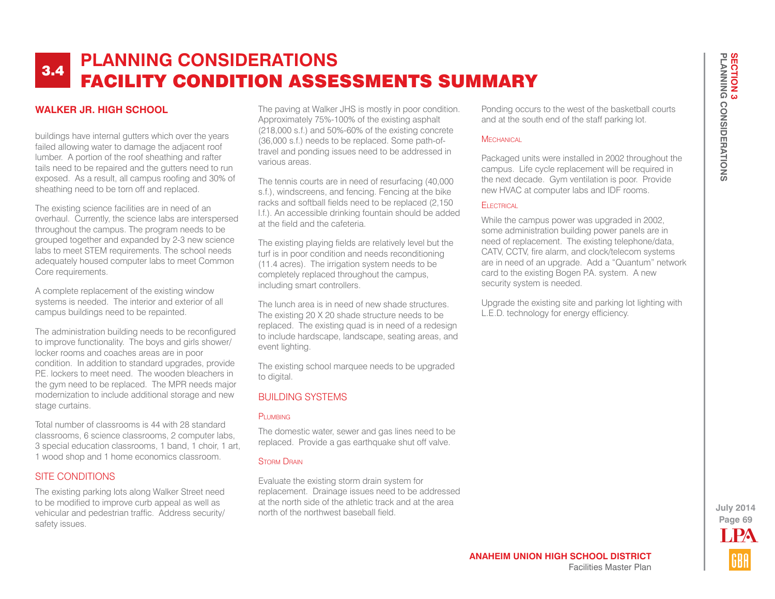### **WALKER JR. HIGH SCHOOL**

buildings have internal gutters which over the years failed allowing water to damage the adjacent roof lumber. A portion of the roof sheathing and rafter tails need to be repaired and the gutters need to run exposed. As a result, all campus roofing and 30% of sheathing need to be torn off and replaced.

The existing science facilities are in need of an overhaul. Currently, the science labs are interspersed throughout the campus. The program needs to be grouped together and expanded by 2-3 new science labs to meet STEM requirements. The school needs adequately housed computer labs to meet Common Core requirements.

A complete replacement of the existing window systems is needed. The interior and exterior of all campus buildings need to be repainted.

The administration building needs to be reconfigured to improve functionality. The boys and girls shower/ locker rooms and coaches areas are in poor condition. In addition to standard upgrades, provide P.E. lockers to meet need. The wooden bleachers in the gym need to be replaced. The MPR needs major modernization to include additional storage and new stage curtains.

Total number of classrooms is 44 with 28 standard classrooms, 6 science classrooms, 2 computer labs, 3 special education classrooms, 1 band, 1 choir, 1 art, 1 wood shop and 1 home economics classroom.

### SITE CONDITIONS

The existing parking lots along Walker Street need to be modified to improve curb appeal as well as vehicular and pedestrian traffic. Address security/ safety issues.

The paving at Walker JHS is mostly in poor condition. Approximately 75%-100% of the existing asphalt (218,000 s.f.) and 50%-60% of the existing concrete (36,000 s.f.) needs to be replaced. Some path-oftravel and ponding issues need to be addressed in various areas.

The tennis courts are in need of resurfacing (40,000 s.f.), windscreens, and fencing. Fencing at the bike racks and softball fields need to be replaced (2,150 l.f.). An accessible drinking fountain should be added at the field and the cafeteria.

The existing playing fields are relatively level but the turf is in poor condition and needs reconditioning (11.4 acres). The irrigation system needs to be completely replaced throughout the campus, including smart controllers.

The lunch area is in need of new shade structures. The existing 20 X 20 shade structure needs to be replaced. The existing quad is in need of a redesign to include hardscape, landscape, seating areas, and event lighting.

The existing school marquee needs to be upgraded to digital.

### BUILDING SYSTEMS

#### PLUMBING

The domestic water, sewer and gas lines need to be replaced. Provide a gas earthquake shut off valve.

#### **STORM DRAIN**

Evaluate the existing storm drain system for replacement. Drainage issues need to be addressed at the north side of the athletic track and at the area north of the northwest baseball field.

Ponding occurs to the west of the basketball courts and at the south end of the staff parking lot.

### **MECHANICAL**

Packaged units were installed in 2002 throughout the campus. Life cycle replacement will be required in the next decade. Gym ventilation is poor. Provide new HVAC at computer labs and IDF rooms.

### Electrical

While the campus power was upgraded in 2002, some administration building power panels are in need of replacement. The existing telephone/data, CATV, CCTV, fire alarm, and clock/telecom systems are in need of an upgrade. Add a "Quantum" network card to the existing Bogen P.A. system. A new security system is needed.

Upgrade the existing site and parking lot lighting with L.E.D. technology for energy efficiency.

> **Page 69 July 2014** LPA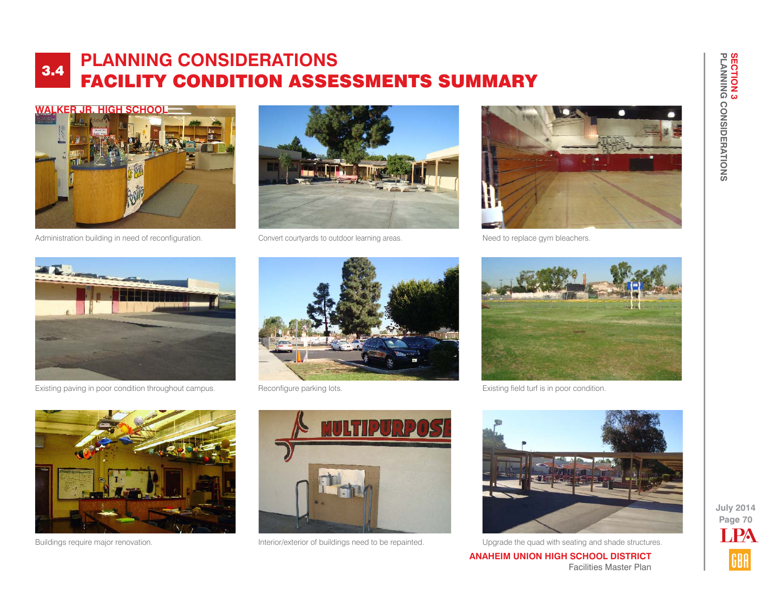

Administration building in need of reconfiguration. Convert courtyards to outdoor learning areas.





Need to replace gym bleachers.



Existing paving in poor condition throughout campus. Reconfigure parking lots.





Existing field turf is in poor condition.







Buildings require major renovation. The structures of the interior/exterior of buildings need to be repainted. Upgrade the quad with seating and shade structures.

**ANAHEIM UNION HIGH SCHOOL DISTRICT** Facilities Master Plan

**Page 70 July 2014** LPA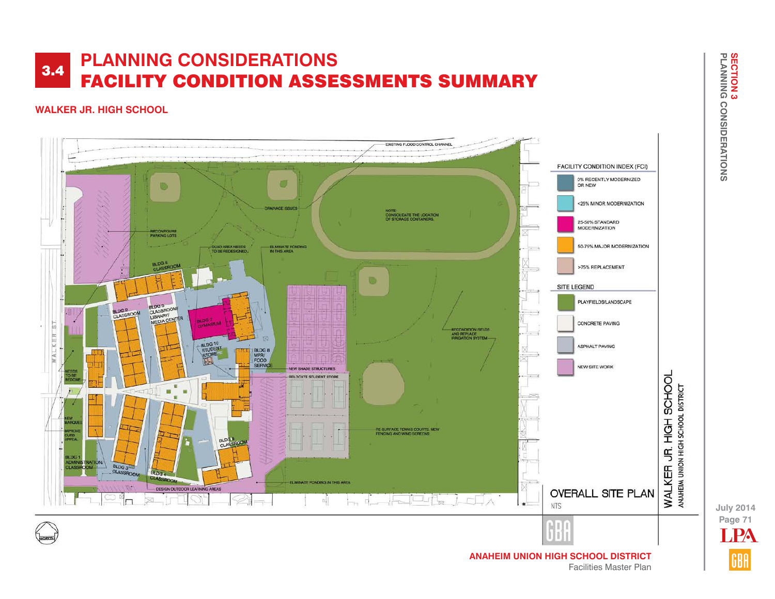## **WALKER JR. HIGH SCHOOL**



**Page 71 July 2014 PA**